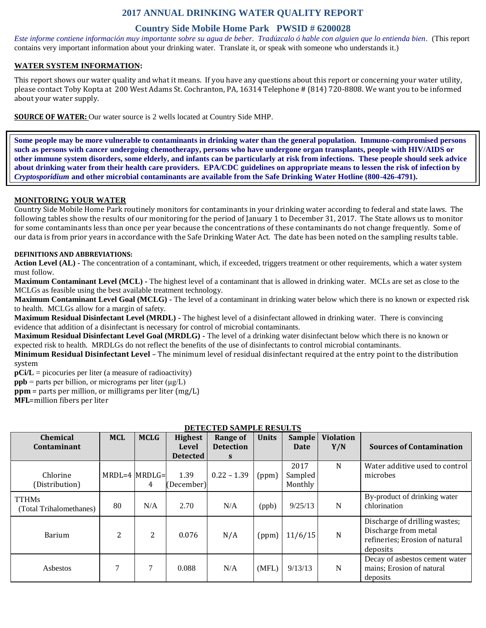# **2017 ANNUAL DRINKING WATER QUALITY REPORT**

## **Country Side Mobile Home Park PWSID # 6200028**

*Este informe contiene información muy importante sobre su agua de beber. Tradúzcalo ó hable con alguien que lo entienda bien.* (This report contains very important information about your drinking water. Translate it, or speak with someone who understands it.)

## **WATER SYSTEM INFORMATION:**

This report shows our water quality and what it means. If you have any questions about this report or concerning your water utility, please contact Toby Kopta at 200 West Adams St. Cochranton, PA, 16314 Telephone # (814) 720-8808. We want you to be informed about your water supply.

**SOURCE OF WATER:** Our water source is 2 wells located at Country Side MHP.

**Some people may be more vulnerable to contaminants in drinking water than the general population. Immuno-compromised persons such as persons with cancer undergoing chemotherapy, persons who have undergone organ transplants, people with HIV/AIDS or other immune system disorders, some elderly, and infants can be particularly at risk from infections. These people should seek advice about drinking water from their health care providers. EPA/CDC guidelines on appropriate means to lessen the risk of infection by**  *Cryptosporidium* **and other microbial contaminants are available from the Safe Drinking Water Hotline (800-426-4791).**

## **MONITORING YOUR WATER**

Country Side Mobile Home Park routinely monitors for contaminants in your drinking water according to federal and state laws. The following tables show the results of our monitoring for the period of January 1 to December 31, 2017. The State allows us to monitor for some contaminants less than once per year because the concentrations of these contaminants do not change frequently. Some of our data is from prior years in accordance with the Safe Drinking Water Act. The date has been noted on the sampling results table.

#### **DEFINITIONS AND ABBREVIATIONS:**

**Action Level (AL) -** The concentration of a contaminant, which, if exceeded, triggers treatment or other requirements, which a water system must follow.

**Maximum Contaminant Level (MCL) -** The highest level of a contaminant that is allowed in drinking water. MCLs are set as close to the MCLGs as feasible using the best available treatment technology.

**Maximum Contaminant Level Goal (MCLG) -** The level of a contaminant in drinking water below which there is no known or expected risk to health. MCLGs allow for a margin of safety.

**Maximum Residual Disinfectant Level (MRDL) -** The highest level of a disinfectant allowed in drinking water. There is convincing evidence that addition of a disinfectant is necessary for control of microbial contaminants.

**Maximum Residual Disinfectant Level Goal (MRDLG) -** The level of a drinking water disinfectant below which there is no known or expected risk to health. MRDLGs do not reflect the benefits of the use of disinfectants to control microbial contaminants.

**Minimum Residual Disinfectant Level** – The minimum level of residual disinfectant required at the entry point to the distribution system

**pCi/L** = picocuries per liter (a measure of radioactivity)

**ppb** = parts per billion, or micrograms per liter  $(\mu g/L)$ 

**ppm** = parts per million, or milligrams per liter (mg/L)

**MFL**=million fibers per liter

| <b>Chemical</b>                         | <b>MCL</b>        | <b>MCLG</b> | <b>Highest</b>     | <b>Range of</b>  | <b>Units</b> | Sample                     | <b>Violation</b> |                                                                                                     |
|-----------------------------------------|-------------------|-------------|--------------------|------------------|--------------|----------------------------|------------------|-----------------------------------------------------------------------------------------------------|
| Contaminant                             |                   |             | Level              | <b>Detection</b> |              | Date                       | Y/N              | <b>Sources of Contamination</b>                                                                     |
|                                         |                   |             | <b>Detected</b>    | S.               |              |                            |                  |                                                                                                     |
| Chlorine<br>(Distribution)              | $MRDL=4$ $MRDLG=$ | 4           | 1.39<br>(December) | $0.22 - 1.39$    | (ppm)        | 2017<br>Sampled<br>Monthly | N                | Water additive used to control<br>microbes                                                          |
| <b>TTHMs</b><br>(Total Trihalomethanes) | 80                | N/A         | 2.70               | N/A              | (ppb)        | 9/25/13                    | N                | By-product of drinking water<br>chlorination                                                        |
| <b>Barium</b>                           | 2                 | 2           | 0.076              | N/A              | (ppm)        | 11/6/15                    | N                | Discharge of drilling wastes;<br>Discharge from metal<br>refineries; Erosion of natural<br>deposits |
| Asbestos                                | 7                 | 7           | 0.088              | N/A              | (MFL)        | 9/13/13                    | N                | Decay of asbestos cement water<br>mains; Erosion of natural<br>deposits                             |

## **DETECTED SAMPLE RESULTS**